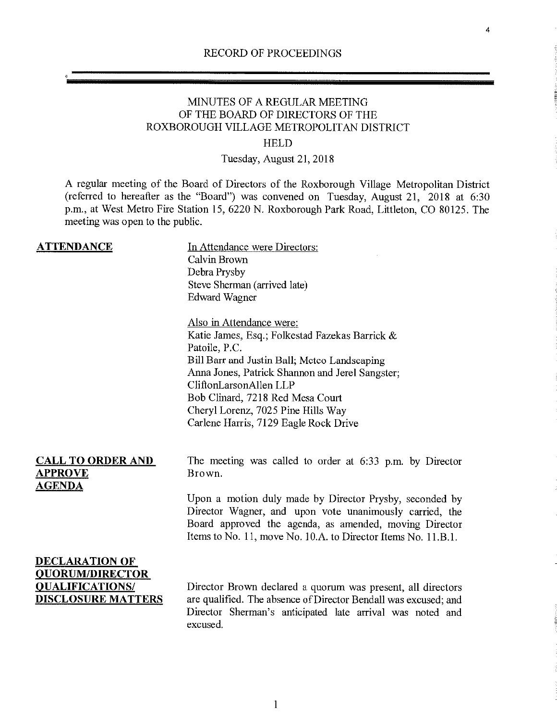4

# MINUTES OF A REGULAR MEETING OF THE BOARD OF DIRECTORS OF THE ROXBOROUGH VILLAGE METROPOLITAN DISTRICT

## HELD

# Tuesday, August 21, 2018

A regular meeting of the Board of Directors of the Roxborough Village Metropolitan District (referred to hereafter as the "Board") was convened on Tuesday, August 21, 2018 at 6:30 p.m., at West Metro Fire Station 15, 6220 N. Roxborough Park Road, Littleton, CO 80125. The meeting was open to the public.

| <b>ATTENDANCE</b>                                                                                      | In Attendance were Directors:<br>Calvin Brown<br>Debra Prysby<br>Steve Sherman (arrived late)<br><b>Edward Wagner</b>                                                                                                                         |
|--------------------------------------------------------------------------------------------------------|-----------------------------------------------------------------------------------------------------------------------------------------------------------------------------------------------------------------------------------------------|
|                                                                                                        | Also in Attendance were:<br>Katie James, Esq.; Folkestad Fazekas Barrick &<br>Patoile, P.C.<br>Bill Barr and Justin Ball; Metco Landscaping<br>Anna Jones, Patrick Shannon and Jerel Sangster;<br>CliftonLarsonAllen LLP                      |
|                                                                                                        | Bob Clinard, 7218 Red Mesa Court<br>Cheryl Lorenz, 7025 Pine Hills Way<br>Carlene Harris, 7129 Eagle Rock Drive                                                                                                                               |
| <b>CALL TO ORDER AND</b><br><b>APPROVE</b><br><b>AGENDA</b>                                            | The meeting was called to order at 6:33 p.m. by Director<br>Brown.                                                                                                                                                                            |
|                                                                                                        | Upon a motion duly made by Director Prysby, seconded by<br>Director Wagner, and upon vote unanimously carried, the<br>Board approved the agenda, as amended, moving Director<br>Items to No. 11, move No. 10.A. to Director Items No. 11.B.1. |
| <b>DECLARATION OF</b><br><b>QUORUM/DIRECTOR</b><br><b>QUALIFICATIONS/</b><br><b>DISCLOSURE MATTERS</b> | Director Brown declared a quorum was present, all directors<br>are qualified. The absence of Director Bendall was excused; and<br>Director Sherman's anticipated late arrival was noted and<br>excused.                                       |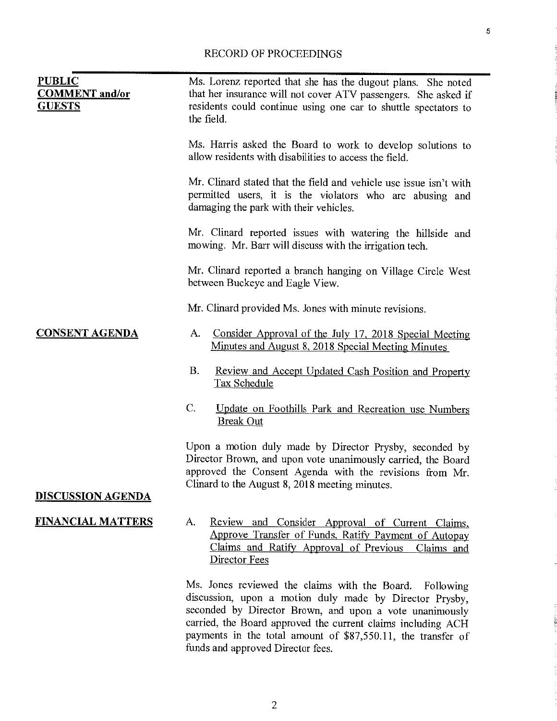| <b>PUBLIC</b><br><b>COMMENT</b> and/or<br><b>GUESTS</b> | Ms. Lorenz reported that she has the dugout plans. She noted<br>that her insurance will not cover ATV passengers. She asked if<br>residents could continue using one car to shuttle spectators to<br>the field.                                                                                                                                       |
|---------------------------------------------------------|-------------------------------------------------------------------------------------------------------------------------------------------------------------------------------------------------------------------------------------------------------------------------------------------------------------------------------------------------------|
|                                                         | Ms. Harris asked the Board to work to develop solutions to<br>allow residents with disabilities to access the field.                                                                                                                                                                                                                                  |
|                                                         | Mr. Clinard stated that the field and vehicle use issue isn't with<br>permitted users, it is the violators who are abusing and<br>damaging the park with their vehicles.                                                                                                                                                                              |
|                                                         | Mr. Clinard reported issues with watering the hillside and<br>mowing. Mr. Barr will discuss with the irrigation tech.                                                                                                                                                                                                                                 |
|                                                         | Mr. Clinard reported a branch hanging on Village Circle West<br>between Buckeye and Eagle View.                                                                                                                                                                                                                                                       |
|                                                         | Mr. Clinard provided Ms. Jones with minute revisions.                                                                                                                                                                                                                                                                                                 |
| <b>CONSENT AGENDA</b>                                   | Consider Approval of the July 17, 2018 Special Meeting<br>А.<br><u>Minutes and August 8, 2018 Special Meeting Minutes</u>                                                                                                                                                                                                                             |
|                                                         | <b>B.</b><br><b>Review and Accept Updated Cash Position and Property</b><br><b>Tax Schedule</b>                                                                                                                                                                                                                                                       |
|                                                         | C.<br>Update on Foothills Park and Recreation use Numbers<br><b>Break Out</b>                                                                                                                                                                                                                                                                         |
|                                                         | Upon a motion duly made by Director Prysby, seconded by<br>Director Brown, and upon vote unanimously carried, the Board<br>approved the Consent Agenda with the revisions from Mr.<br>Clinard to the August 8, 2018 meeting minutes.                                                                                                                  |
| <b>DISCUSSION AGENDA</b>                                |                                                                                                                                                                                                                                                                                                                                                       |
| <b>FINANCIAL MATTERS</b>                                | Review and Consider Approval of Current Claims,<br>A.<br>Approve Transfer of Funds, Ratify Payment of Autopay<br>Claims and Ratify Approval of Previous<br>Claims and<br>Director Fees                                                                                                                                                                |
|                                                         | Ms. Jones reviewed the claims with the Board.<br>Following<br>discussion, upon a motion duly made by Director Prysby,<br>seconded by Director Brown, and upon a vote unanimously<br>carried, the Board approved the current claims including ACH<br>payments in the total amount of \$87,550.11, the transfer of<br>funds and approved Director fees. |

5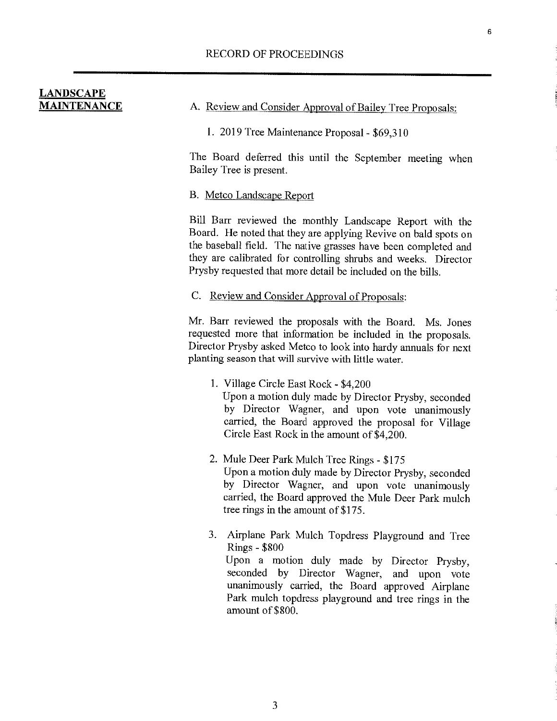| <b>LANDSCAPE</b>   |  |  |
|--------------------|--|--|
| <b>MAINTENANCE</b> |  |  |

A. Review and Consider Approval of Bailey Tree Proposals:

1. 2019 Tree Maintenance Proposal - \$69,310

The Board deferred this until the September meeting when Bailey Tree is present.

#### B. Metco Landscape Report

Bill Barr reviewed the monthly Landscape Report with the Board. He noted that they are applying Revive on bald spots on the baseball field. The native grasses have been completed and they are calibrated for controlling shrubs and weeks. Director Prysby requested that more detail be included on the bills.

C. Review and Consider Approval of Proposals:

Mr. Barr reviewed the proposals with the Board. Ms. Jones requested more that information be included in the proposals. Director Prysby asked Metco to look into hardy annuals for next planting season that will survive with little water.

- 1. Village Circle East Rock \$4,200 Upon a motion duly made by Director Prysby, seconded by Director Wagner, and upon vote unanimously carried, the Board approved the proposal for Village Circle East Rock in the amount of \$4,200.
- 2. Mule Deer Park Mulch Tree Rings \$175 Upon a motion duly made by Director Prysby, seconded by Director Wagner, and upon vote unanimously carried, the Board approved the Mule Deer Park mulch tree rings in the amount of \$175.

3. Airplane Park Mulch Topdress Playground and Tree Rings - \$800 Upon a motion duly made by Director Prysby, seconded by Director Wagner, and upon vote unanimously carried, the Board approved Airplane Park mulch topdress playground and tree rings in the amount of \$800.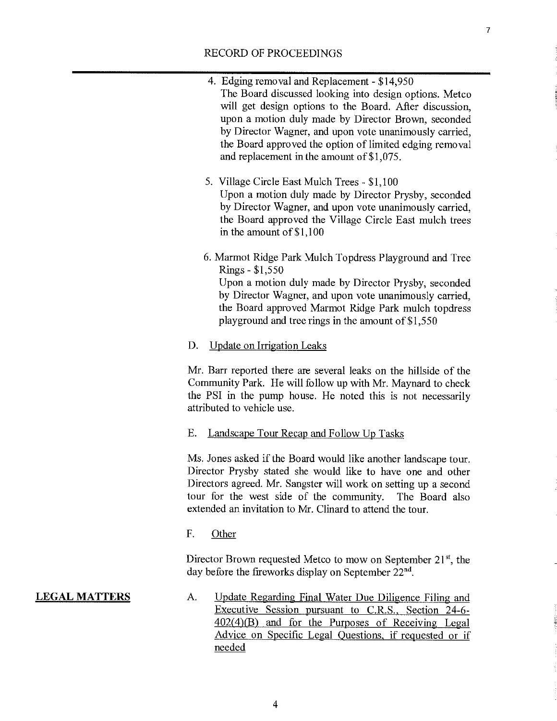4. Edging removal and Replacement - \$14,950

 $\boldsymbol{7}$ 

|                      | The Board discussed looking into design options. Metco<br>will get design options to the Board. After discussion,<br>upon a motion duly made by Director Brown, seconded<br>by Director Wagner, and upon vote unanimously carried,<br>the Board approved the option of limited edging removal<br>and replacement in the amount of $$1,075$ . |
|----------------------|----------------------------------------------------------------------------------------------------------------------------------------------------------------------------------------------------------------------------------------------------------------------------------------------------------------------------------------------|
|                      | 5. Village Circle East Mulch Trees - \$1,100<br>Upon a motion duly made by Director Prysby, seconded<br>by Director Wagner, and upon vote unanimously carried,<br>the Board approved the Village Circle East mulch trees<br>in the amount of $$1,100$                                                                                        |
|                      | 6. Marmot Ridge Park Mulch Topdress Playground and Tree<br>Rings - \$1,550<br>Upon a motion duly made by Director Prysby, seconded<br>by Director Wagner, and upon vote unanimously carried,<br>the Board approved Marmot Ridge Park mulch topdress<br>playground and tree rings in the amount of $$1,550$                                   |
|                      | D.<br><b>Update on Irrigation Leaks</b>                                                                                                                                                                                                                                                                                                      |
|                      | Mr. Barr reported there are several leaks on the hillside of the<br>Community Park. He will follow up with Mr. Maynard to check<br>the PSI in the pump house. He noted this is not necessarily<br>attributed to vehicle use.                                                                                                                 |
|                      | Ε.<br><b>Landscape Tour Recap and Follow Up Tasks</b>                                                                                                                                                                                                                                                                                        |
|                      | Ms. Jones asked if the Board would like another landscape tour.<br>Director Prysby stated she would like to have one and other<br>Directors agreed. Mr. Sangster will work on setting up a second<br>tour for the west side of the community. The Board also<br>extended an invitation to Mr. Clinard to attend the tour.                    |
|                      | F.<br>Other                                                                                                                                                                                                                                                                                                                                  |
|                      | Director Brown requested Metco to mow on September 21 <sup>st</sup> , the<br>day before the fireworks display on September 22 <sup>nd</sup> .                                                                                                                                                                                                |
| <u>LEGAL MATTERS</u> | Update Regarding Final Water Due Diligence Filing and<br>А.<br>Executive Session pursuant to C.R.S., Section 24-6-<br>402(4)(B) and for the Purposes of Receiving Legal<br>Advice on Specific Legal Questions, if requested or if<br>needed                                                                                                  |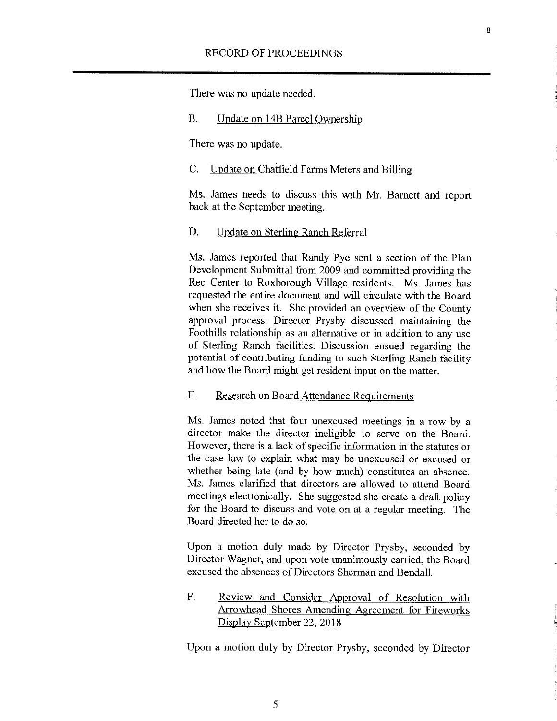There was no update needed.

#### B. Update on 14B Parcel Ownership

There was no update.

#### C. Update on Chatfield Farms Meters and Billing

Ms. James needs to discuss this with Mr. Barnett and report back at the September meeting.

8

## D. Update on Sterling Ranch Referral

Ms. James reported that Randy Pye sent a section of the Plan Development Submittal from 2009 and committed providing the Rec Center to Roxborough Village residents. Ms. James has requested the entire document and will circulate with the Board when she receives it. She provided an overview of the County approval process. Director Prysby discussed maintaining the Foothills relationship as an alternative or in addition to any use of Sterling Ranch facilities. Discussion ensued regarding the potential of contributing funding to such Sterling Ranch facility and how the Board might get resident input on the matter.

## E. Research on Board Attendance Requirements

Ms. James noted that four unexcused meetings in a row by a director make the director ineligible to serve on the Board. However, there is a lack of specific information in the statutes or the case law to explain what may be unexcused or excused or whether being late (and by how much) constitutes an absence. Ms. James clarified that directors are allowed to attend Board meetings electronically. She suggested she create a draft policy for the Board to discuss and vote on at a regular meeting. The Board directed her to do so.

Upon a motion duly made by Director Prysby, seconded by Director Wagner, and upon vote unanimously carried, the Board excused the absences of Directors Sherman and Bendall.

F. Review and Consider Approval of Resolution with Arrowhead Shores Amending Agreement for Fireworks Display September 22. 2018

Upon a motion duly by Director Prysby, seconded by Director

*5*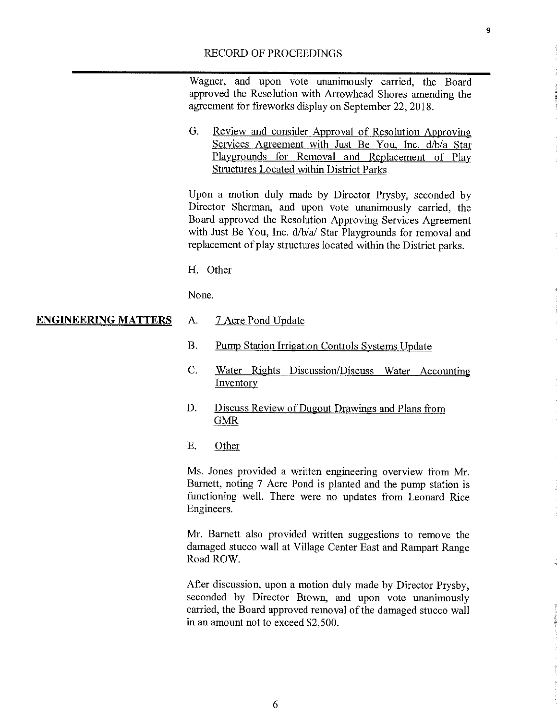Wagner, and upon vote unanimously carried, the Board approved the Resolution with Arrowhead Shores amending the agreement for fireworks display on September 22, 2018.

0. Review and consider Approval of Resolution Approving Services Agreement with Just Be You. Inc. d/b/a Star Playgrounds for Removal and Replacement of Play Structures Located within District Parks

Upon a motion duly made by Director Prysby, seconded by Director Sherman, and upon vote unanimously carried, the Board approved the Resolution Approving Services Agreement with Just Be You, Inc. d/b/a/ Star Playgrounds for removal and replacement of play structures located within the District parks.

H. Other

None.

#### **ENGINEERING MATTERS** A. 7 Acre Pond Update

- B. Pump Station Irrigation Controls Systems Update
- C. Water Rights Discussion/Discuss Water Accounting **Inventory**
- D. Discuss Review of Dugout Drawings and Plans from GMR
- E. Other

Ms. Jones provided a written engineering overview from Mr. Barnett, noting 7 Acre Pond is planted and the pump station is functioning well. There were no updates from Leonard Rice Engineers.

Mr. Barnett also provided written suggestions to remove the damaged stucco wall at Village Center East and Rampart Range Road ROW.

After discussion, upon a motion duly made by Director Prysby, seconded by Director Brown, and upon vote unanimously carried, the Board approved removal of the damaged stucco wall in an amount not to exceed \$2,500.

9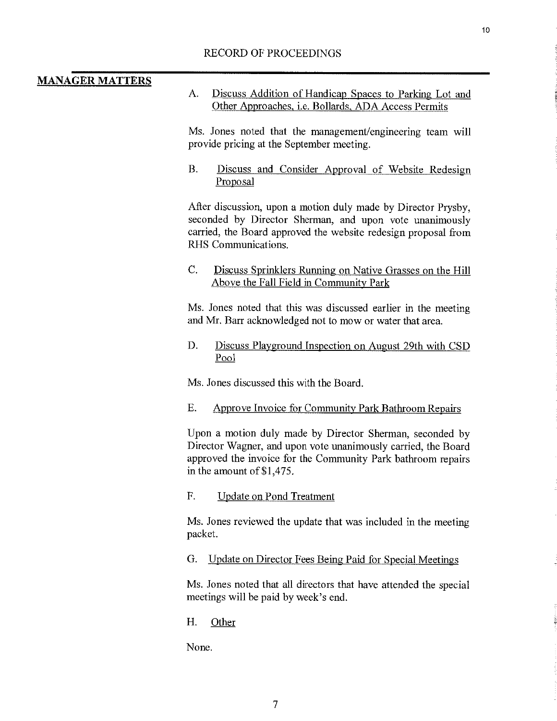# **MANAGER MATTERS**

A. Discuss Addition of Handicap Spaces to Parking Lot and Other Approaches, i.e. Bollards, ADA Access Permits

Ms. Jones noted that the management/engineering team will provide pricing at the September meeting.

B. Discuss and Consider Approval of Website Redesign Proposal

Afier discussion, upon a motion duly made by Director Prysby, seconded by Director Sherman, and upon vote unanimously carried, the Board approved the website redesign proposal from RHS Communications.

## C. Discuss Sprinklers Running on Native Grasses on the Hill Above the Fall Field in Community Park

Ms. Jones noted that this was discussed earlier in the meeting and Mr. Barr acknowledged not to mow or water that area.

D. Discuss Playground Inspection on August 29th with CSD Pool

Ms. Jones discussed this with the Board.

# E. Approve Invoice for Community Park Bathroom Repairs

Upon a motion duly made by Director Sherman, seconded by Director Wagner, and upon vote unanimously carried, the Board approved the invoice for the Community Park bathroom repairs in the amount of  $$1,475$ .

F. Undate on Pond Treatment

Ms. Jones reviewed the update that was included in the meeting packet.

G. Update on Director Fees Being Paid for Special Meetings

Ms. Jones noted that all directors that have attended the special meetings will be paid by week's end.

H. Other

None.